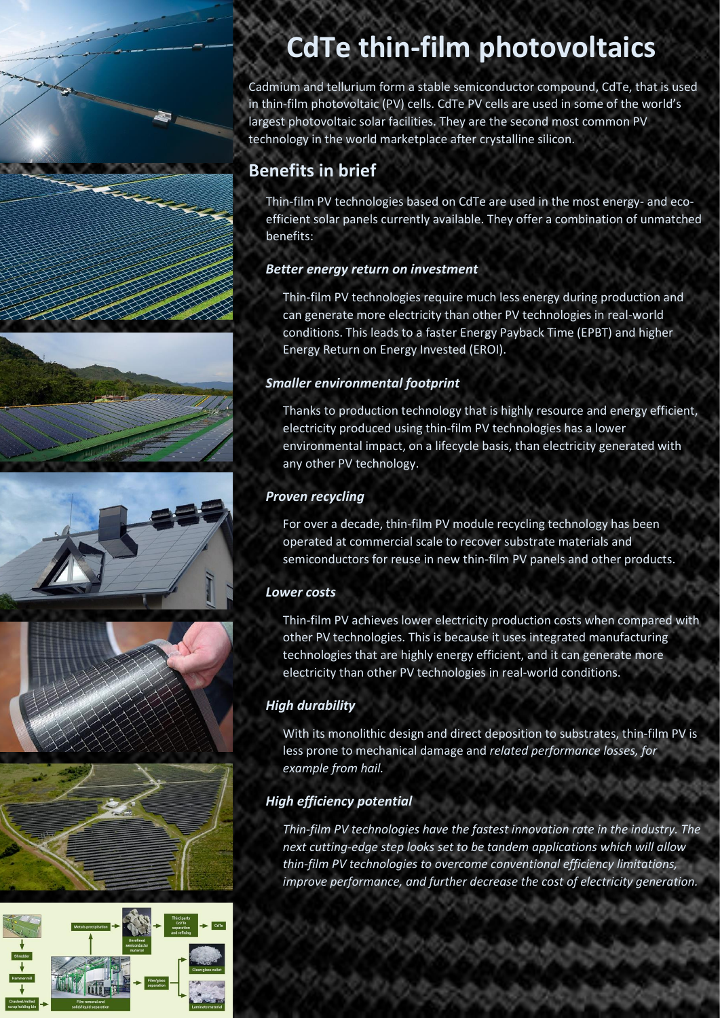# **CdTe thin-film photovoltaics**

Cadmium and tellurium form a stable semiconductor compound, CdTe, that is used in thin-film photovoltaic (PV) cells. CdTe PV cells are used in some of the world's largest photovoltaic solar facilities. They are the second most common PV technology in the world marketplace after crystalline silicon.

# **Benefits in brief**

ann ann an Saolanach an Dùbhan an Dùbhan an Dùbhan an Dùbhan an Dùbhan an Dùbhan an Dùbhan an Dùbhan an Dùbhan<br>Dùbhan an Dùbhan an Dùbhan an Dùbhan an Dùbhan an Dùbhan an Dùbhan an Dùbhan an Dùbhan an Dùbhan an Dùbhan an

Thin-film PV technologies based on CdTe are used in the most energy- and ecoefficient solar panels currently available. They offer a combination of unmatched benefits:

#### *Better energy return on investment*

Thin-film PV technologies require much less energy during production and can generate more electricity than other PV technologies in real-world conditions. This leads to a faster Energy Payback Time (EPBT) and higher Energy Return on Energy Invested (EROI).

#### *Smaller environmental footprint*

Thanks to production technology that is highly resource and energy efficient, electricity produced using thin-film PV technologies has a lower environmental impact, on a lifecycle basis, than electricity generated with any other PV technology.

#### *Proven recycling*

For over a decade, thin-film PV module recycling technology has been operated at commercial scale to recover substrate materials and semiconductors for reuse in new thin-film PV panels and other products.

#### *Lower costs*

Thin-film PV achieves lower electricity production costs when compared with other PV technologies. This is because it uses integrated manufacturing technologies that are highly energy efficient, and it can generate more electricity than other PV technologies in real-world conditions.

#### *High durability*

With its monolithic design and direct deposition to substrates, thin-film PV is less prone to mechanical damage and *related performance losses, for example from hail.* 

### *High efficiency potential*

*Thin-film PV technologies have the fastest innovation rate in the industry. The next cutting-edge step looks set to be tandem applications which will allow thin-film PV technologies to overcome conventional efficiency limitations, improve performance, and further decrease the cost of electricity generation.*